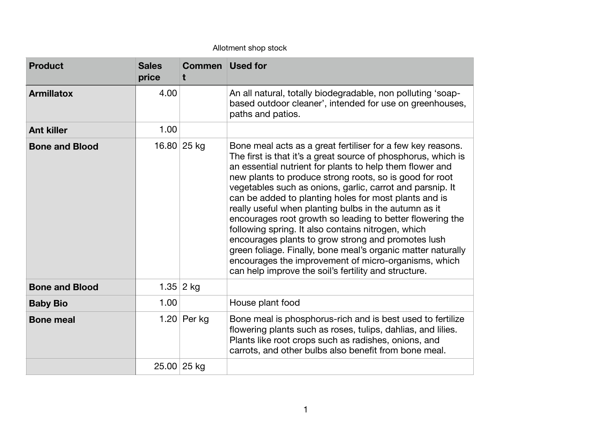## Allotment shop stock

| <b>Product</b>        | <b>Sales</b><br>price | <b>Commen</b> Used for |                                                                                                                                                                                                                                                                                                                                                                                                                                                                                                                                                                                                                                                                                                                                                                                             |
|-----------------------|-----------------------|------------------------|---------------------------------------------------------------------------------------------------------------------------------------------------------------------------------------------------------------------------------------------------------------------------------------------------------------------------------------------------------------------------------------------------------------------------------------------------------------------------------------------------------------------------------------------------------------------------------------------------------------------------------------------------------------------------------------------------------------------------------------------------------------------------------------------|
| <b>Armillatox</b>     | 4.00                  |                        | An all natural, totally biodegradable, non polluting 'soap-<br>based outdoor cleaner', intended for use on greenhouses,<br>paths and patios.                                                                                                                                                                                                                                                                                                                                                                                                                                                                                                                                                                                                                                                |
| <b>Ant killer</b>     | 1.00                  |                        |                                                                                                                                                                                                                                                                                                                                                                                                                                                                                                                                                                                                                                                                                                                                                                                             |
| <b>Bone and Blood</b> |                       | 16.80 25 kg            | Bone meal acts as a great fertiliser for a few key reasons.<br>The first is that it's a great source of phosphorus, which is<br>an essential nutrient for plants to help them flower and<br>new plants to produce strong roots, so is good for root<br>vegetables such as onions, garlic, carrot and parsnip. It<br>can be added to planting holes for most plants and is<br>really useful when planting bulbs in the autumn as it<br>encourages root growth so leading to better flowering the<br>following spring. It also contains nitrogen, which<br>encourages plants to grow strong and promotes lush<br>green foliage. Finally, bone meal's organic matter naturally<br>encourages the improvement of micro-organisms, which<br>can help improve the soil's fertility and structure. |
| <b>Bone and Blood</b> |                       | 1.35 2 kg              |                                                                                                                                                                                                                                                                                                                                                                                                                                                                                                                                                                                                                                                                                                                                                                                             |
| <b>Baby Bio</b>       | 1.00                  |                        | House plant food                                                                                                                                                                                                                                                                                                                                                                                                                                                                                                                                                                                                                                                                                                                                                                            |
| <b>Bone meal</b>      |                       | 1.20 Per kg            | Bone meal is phosphorus-rich and is best used to fertilize<br>flowering plants such as roses, tulips, dahlias, and lilies.<br>Plants like root crops such as radishes, onions, and<br>carrots, and other bulbs also benefit from bone meal.                                                                                                                                                                                                                                                                                                                                                                                                                                                                                                                                                 |
|                       |                       | 25.00 25 kg            |                                                                                                                                                                                                                                                                                                                                                                                                                                                                                                                                                                                                                                                                                                                                                                                             |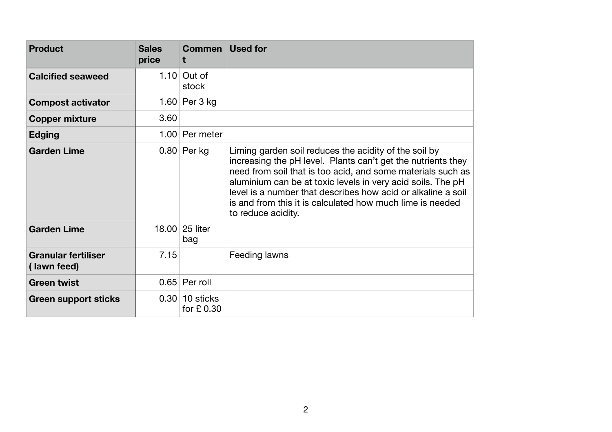| <b>Product</b>                            | <b>Sales</b><br>price | <b>Commen</b> Used for         |                                                                                                                                                                                                                                                                                                                                                                                                        |
|-------------------------------------------|-----------------------|--------------------------------|--------------------------------------------------------------------------------------------------------------------------------------------------------------------------------------------------------------------------------------------------------------------------------------------------------------------------------------------------------------------------------------------------------|
| <b>Calcified seaweed</b>                  |                       | 1.10 Out of<br>stock           |                                                                                                                                                                                                                                                                                                                                                                                                        |
| <b>Compost activator</b>                  |                       | 1.60 Per 3 kg                  |                                                                                                                                                                                                                                                                                                                                                                                                        |
| <b>Copper mixture</b>                     | 3.60                  |                                |                                                                                                                                                                                                                                                                                                                                                                                                        |
| <b>Edging</b>                             |                       | 1.00 Per meter                 |                                                                                                                                                                                                                                                                                                                                                                                                        |
| <b>Garden Lime</b>                        |                       | $0.80$ Per kg                  | Liming garden soil reduces the acidity of the soil by<br>increasing the pH level. Plants can't get the nutrients they<br>need from soil that is too acid, and some materials such as<br>aluminium can be at toxic levels in very acid soils. The pH<br>level is a number that describes how acid or alkaline a soil<br>is and from this it is calculated how much lime is needed<br>to reduce acidity. |
| <b>Garden Lime</b>                        |                       | 18.00 25 liter<br>bag          |                                                                                                                                                                                                                                                                                                                                                                                                        |
| <b>Granular fertiliser</b><br>(lawn feed) | 7.15                  |                                | Feeding lawns                                                                                                                                                                                                                                                                                                                                                                                          |
| <b>Green twist</b>                        |                       | $0.65$ Per roll                |                                                                                                                                                                                                                                                                                                                                                                                                        |
| <b>Green support sticks</b>               |                       | $0.30$ 10 sticks<br>for £ 0.30 |                                                                                                                                                                                                                                                                                                                                                                                                        |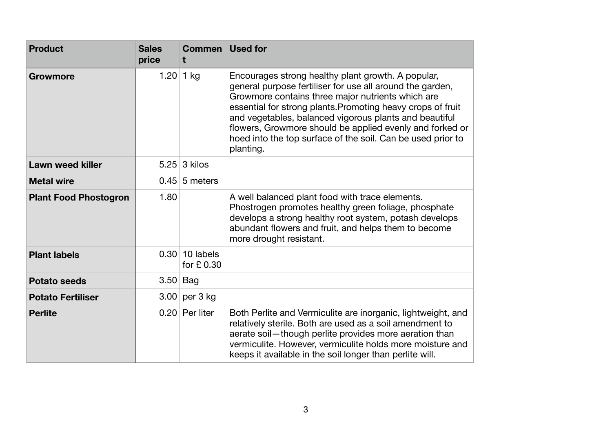| <b>Product</b>               | <b>Sales</b><br>price | <b>Commen</b> Used for<br>t    |                                                                                                                                                                                                                                                                                                                                                                                                                                       |
|------------------------------|-----------------------|--------------------------------|---------------------------------------------------------------------------------------------------------------------------------------------------------------------------------------------------------------------------------------------------------------------------------------------------------------------------------------------------------------------------------------------------------------------------------------|
| <b>Growmore</b>              |                       | 1.20   1 kg                    | Encourages strong healthy plant growth. A popular,<br>general purpose fertiliser for use all around the garden,<br>Growmore contains three major nutrients which are<br>essential for strong plants. Promoting heavy crops of fruit<br>and vegetables, balanced vigorous plants and beautiful<br>flowers, Growmore should be applied evenly and forked or<br>hoed into the top surface of the soil. Can be used prior to<br>planting. |
| <b>Lawn weed killer</b>      |                       | $5.25 \mid 3$ kilos            |                                                                                                                                                                                                                                                                                                                                                                                                                                       |
| <b>Metal wire</b>            |                       | $0.45 \mid 5$ meters           |                                                                                                                                                                                                                                                                                                                                                                                                                                       |
| <b>Plant Food Phostogron</b> | 1.80                  |                                | A well balanced plant food with trace elements.<br>Phostrogen promotes healthy green foliage, phosphate<br>develops a strong healthy root system, potash develops<br>abundant flowers and fruit, and helps them to become<br>more drought resistant.                                                                                                                                                                                  |
| <b>Plant labels</b>          |                       | $0.30$ 10 labels<br>for £ 0.30 |                                                                                                                                                                                                                                                                                                                                                                                                                                       |
| <b>Potato seeds</b>          | $3.50$ Bag            |                                |                                                                                                                                                                                                                                                                                                                                                                                                                                       |
| <b>Potato Fertiliser</b>     | 3.00                  | per 3 kg                       |                                                                                                                                                                                                                                                                                                                                                                                                                                       |
| <b>Perlite</b>               |                       | $0.20$ Per liter               | Both Perlite and Vermiculite are inorganic, lightweight, and<br>relatively sterile. Both are used as a soil amendment to<br>aerate soil-though perlite provides more aeration than<br>vermiculite. However, vermiculite holds more moisture and<br>keeps it available in the soil longer than perlite will.                                                                                                                           |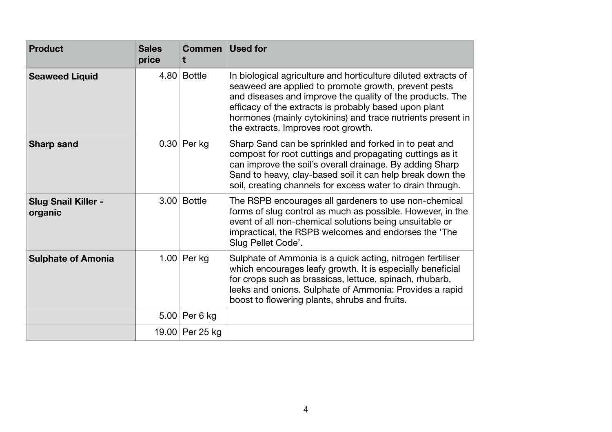| <b>Product</b>                        | <b>Sales</b><br>price | <b>Commen</b> Used for<br>t |                                                                                                                                                                                                                                                                                                                                                    |
|---------------------------------------|-----------------------|-----------------------------|----------------------------------------------------------------------------------------------------------------------------------------------------------------------------------------------------------------------------------------------------------------------------------------------------------------------------------------------------|
| <b>Seaweed Liquid</b>                 |                       | $4.80$ Bottle               | In biological agriculture and horticulture diluted extracts of<br>seaweed are applied to promote growth, prevent pests<br>and diseases and improve the quality of the products. The<br>efficacy of the extracts is probably based upon plant<br>hormones (mainly cytokinins) and trace nutrients present in<br>the extracts. Improves root growth. |
| <b>Sharp sand</b>                     |                       | $0.30$ Per kg               | Sharp Sand can be sprinkled and forked in to peat and<br>compost for root cuttings and propagating cuttings as it<br>can improve the soil's overall drainage. By adding Sharp<br>Sand to heavy, clay-based soil it can help break down the<br>soil, creating channels for excess water to drain through.                                           |
| <b>Slug Snail Killer -</b><br>organic |                       | $3.00$ Bottle               | The RSPB encourages all gardeners to use non-chemical<br>forms of slug control as much as possible. However, in the<br>event of all non-chemical solutions being unsuitable or<br>impractical, the RSPB welcomes and endorses the 'The<br>Slug Pellet Code'.                                                                                       |
| <b>Sulphate of Amonia</b>             |                       | 1.00 Per kg                 | Sulphate of Ammonia is a quick acting, nitrogen fertiliser<br>which encourages leafy growth. It is especially beneficial<br>for crops such as brassicas, lettuce, spinach, rhubarb,<br>leeks and onions. Sulphate of Ammonia: Provides a rapid<br>boost to flowering plants, shrubs and fruits.                                                    |
|                                       |                       | $5.00$ Per 6 kg             |                                                                                                                                                                                                                                                                                                                                                    |
|                                       |                       | 19.00 Per 25 kg             |                                                                                                                                                                                                                                                                                                                                                    |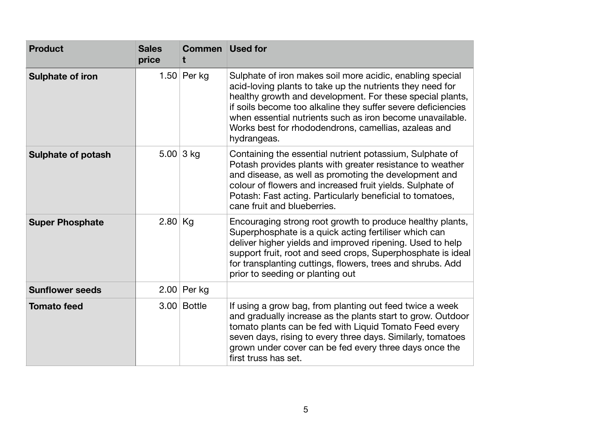| <b>Product</b>            | <b>Sales</b><br>price | <b>Commen</b> Used for<br>Ť. |                                                                                                                                                                                                                                                                                                                                                                                         |
|---------------------------|-----------------------|------------------------------|-----------------------------------------------------------------------------------------------------------------------------------------------------------------------------------------------------------------------------------------------------------------------------------------------------------------------------------------------------------------------------------------|
| <b>Sulphate of iron</b>   |                       | 1.50 Per kg                  | Sulphate of iron makes soil more acidic, enabling special<br>acid-loving plants to take up the nutrients they need for<br>healthy growth and development. For these special plants,<br>if soils become too alkaline they suffer severe deficiencies<br>when essential nutrients such as iron become unavailable.<br>Works best for rhododendrons, camellias, azaleas and<br>hydrangeas. |
| <b>Sulphate of potash</b> |                       | 5.00   3 kg                  | Containing the essential nutrient potassium, Sulphate of<br>Potash provides plants with greater resistance to weather<br>and disease, as well as promoting the development and<br>colour of flowers and increased fruit yields. Sulphate of<br>Potash: Fast acting. Particularly beneficial to tomatoes,<br>cane fruit and blueberries.                                                 |
| <b>Super Phosphate</b>    | $2.80$ Kg             |                              | Encouraging strong root growth to produce healthy plants,<br>Superphosphate is a quick acting fertiliser which can<br>deliver higher yields and improved ripening. Used to help<br>support fruit, root and seed crops, Superphosphate is ideal<br>for transplanting cuttings, flowers, trees and shrubs. Add<br>prior to seeding or planting out                                        |
| <b>Sunflower seeds</b>    | 2.00                  | Per kg                       |                                                                                                                                                                                                                                                                                                                                                                                         |
| <b>Tomato feed</b>        |                       | 3.00 Bottle                  | If using a grow bag, from planting out feed twice a week<br>and gradually increase as the plants start to grow. Outdoor<br>tomato plants can be fed with Liquid Tomato Feed every<br>seven days, rising to every three days. Similarly, tomatoes<br>grown under cover can be fed every three days once the<br>first truss has set.                                                      |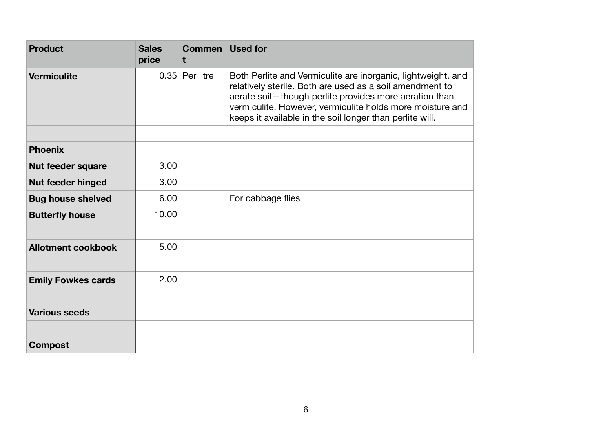| <b>Product</b>            | <b>Sales</b><br>price | <b>Commen</b> Used for<br>t |                                                                                                                                                                                                                                                                                                             |
|---------------------------|-----------------------|-----------------------------|-------------------------------------------------------------------------------------------------------------------------------------------------------------------------------------------------------------------------------------------------------------------------------------------------------------|
| <b>Vermiculite</b>        |                       | $0.35$ Per litre            | Both Perlite and Vermiculite are inorganic, lightweight, and<br>relatively sterile. Both are used as a soil amendment to<br>aerate soil-though perlite provides more aeration than<br>vermiculite. However, vermiculite holds more moisture and<br>keeps it available in the soil longer than perlite will. |
|                           |                       |                             |                                                                                                                                                                                                                                                                                                             |
| <b>Phoenix</b>            |                       |                             |                                                                                                                                                                                                                                                                                                             |
| <b>Nut feeder square</b>  | 3.00                  |                             |                                                                                                                                                                                                                                                                                                             |
| <b>Nut feeder hinged</b>  | 3.00                  |                             |                                                                                                                                                                                                                                                                                                             |
| <b>Bug house shelved</b>  | 6.00                  |                             | For cabbage flies                                                                                                                                                                                                                                                                                           |
| <b>Butterfly house</b>    | 10.00                 |                             |                                                                                                                                                                                                                                                                                                             |
|                           |                       |                             |                                                                                                                                                                                                                                                                                                             |
| <b>Allotment cookbook</b> | 5.00                  |                             |                                                                                                                                                                                                                                                                                                             |
|                           |                       |                             |                                                                                                                                                                                                                                                                                                             |
| <b>Emily Fowkes cards</b> | 2.00                  |                             |                                                                                                                                                                                                                                                                                                             |
|                           |                       |                             |                                                                                                                                                                                                                                                                                                             |
| <b>Various seeds</b>      |                       |                             |                                                                                                                                                                                                                                                                                                             |
|                           |                       |                             |                                                                                                                                                                                                                                                                                                             |
| <b>Compost</b>            |                       |                             |                                                                                                                                                                                                                                                                                                             |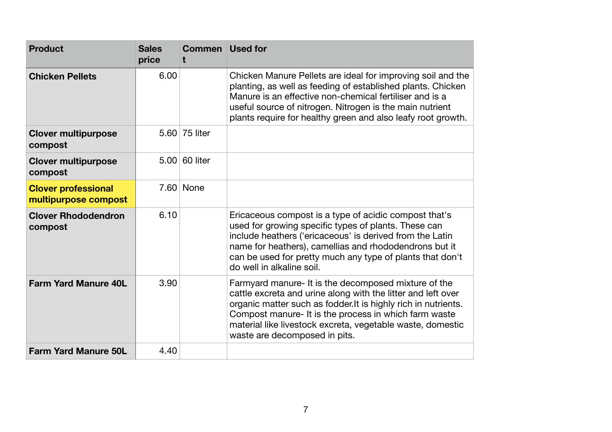| <b>Product</b>                                     | <b>Sales</b><br>price | <b>Commen</b> Used for |                                                                                                                                                                                                                                                                                                                                                |
|----------------------------------------------------|-----------------------|------------------------|------------------------------------------------------------------------------------------------------------------------------------------------------------------------------------------------------------------------------------------------------------------------------------------------------------------------------------------------|
| <b>Chicken Pellets</b>                             | 6.00                  |                        | Chicken Manure Pellets are ideal for improving soil and the<br>planting, as well as feeding of established plants. Chicken<br>Manure is an effective non-chemical fertiliser and is a<br>useful source of nitrogen. Nitrogen is the main nutrient<br>plants require for healthy green and also leafy root growth.                              |
| <b>Clover multipurpose</b><br>compost              |                       | 5.60 75 liter          |                                                                                                                                                                                                                                                                                                                                                |
| <b>Clover multipurpose</b><br>compost              |                       | $5.00$ 60 liter        |                                                                                                                                                                                                                                                                                                                                                |
| <b>Clover professional</b><br>multipurpose compost |                       | $7.60$ None            |                                                                                                                                                                                                                                                                                                                                                |
| <b>Clover Rhododendron</b><br>compost              | 6.10                  |                        | Ericaceous compost is a type of acidic compost that's<br>used for growing specific types of plants. These can<br>include heathers ('ericaceous' is derived from the Latin<br>name for heathers), camellias and rhododendrons but it<br>can be used for pretty much any type of plants that don't<br>do well in alkaline soil.                  |
| <b>Farm Yard Manure 40L</b>                        | 3.90                  |                        | Farmyard manure- It is the decomposed mixture of the<br>cattle excreta and urine along with the litter and left over<br>organic matter such as fodder. It is highly rich in nutrients.<br>Compost manure- It is the process in which farm waste<br>material like livestock excreta, vegetable waste, domestic<br>waste are decomposed in pits. |
| <b>Farm Yard Manure 50L</b>                        | 4.40                  |                        |                                                                                                                                                                                                                                                                                                                                                |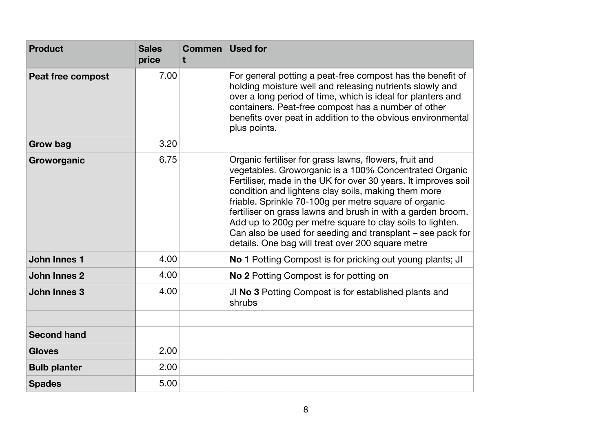| <b>Product</b>      | <b>Sales</b><br>price | <b>Commen</b> Used for |                                                                                                                                                                                                                                                                                                                                                                                                                                                                                                                                                   |
|---------------------|-----------------------|------------------------|---------------------------------------------------------------------------------------------------------------------------------------------------------------------------------------------------------------------------------------------------------------------------------------------------------------------------------------------------------------------------------------------------------------------------------------------------------------------------------------------------------------------------------------------------|
| Peat free compost   | 7.00                  |                        | For general potting a peat-free compost has the benefit of<br>holding moisture well and releasing nutrients slowly and<br>over a long period of time, which is ideal for planters and<br>containers. Peat-free compost has a number of other<br>benefits over peat in addition to the obvious environmental<br>plus points.                                                                                                                                                                                                                       |
| <b>Grow bag</b>     | 3.20                  |                        |                                                                                                                                                                                                                                                                                                                                                                                                                                                                                                                                                   |
| Groworganic         | 6.75                  |                        | Organic fertiliser for grass lawns, flowers, fruit and<br>vegetables. Groworganic is a 100% Concentrated Organic<br>Fertiliser, made in the UK for over 30 years. It improves soil<br>condition and lightens clay soils, making them more<br>friable. Sprinkle 70-100g per metre square of organic<br>fertiliser on grass lawns and brush in with a garden broom.<br>Add up to 200g per metre square to clay soils to lighten.<br>Can also be used for seeding and transplant – see pack for<br>details. One bag will treat over 200 square metre |
| <b>John Innes 1</b> | 4.00                  |                        | No 1 Potting Compost is for pricking out young plants; JI                                                                                                                                                                                                                                                                                                                                                                                                                                                                                         |
| <b>John Innes 2</b> | 4.00                  |                        | <b>No 2 Potting Compost is for potting on</b>                                                                                                                                                                                                                                                                                                                                                                                                                                                                                                     |
| <b>John Innes 3</b> | 4.00                  |                        | JI No 3 Potting Compost is for established plants and<br>shrubs                                                                                                                                                                                                                                                                                                                                                                                                                                                                                   |
|                     |                       |                        |                                                                                                                                                                                                                                                                                                                                                                                                                                                                                                                                                   |
| <b>Second hand</b>  |                       |                        |                                                                                                                                                                                                                                                                                                                                                                                                                                                                                                                                                   |
| <b>Gloves</b>       | 2.00                  |                        |                                                                                                                                                                                                                                                                                                                                                                                                                                                                                                                                                   |
| <b>Bulb planter</b> | 2.00                  |                        |                                                                                                                                                                                                                                                                                                                                                                                                                                                                                                                                                   |
| <b>Spades</b>       | 5.00                  |                        |                                                                                                                                                                                                                                                                                                                                                                                                                                                                                                                                                   |